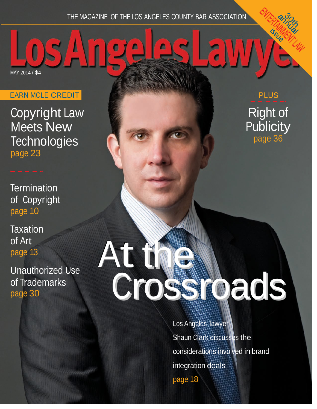## THE MAGAZINE OF THE LOS ANGELES COUNTY BAR ASSOCIATION

n

Ω

EARN MCLE CREDIT

MAY 2014 / \$4

Copyright Law Meets New **Technologies** page 23

**Termination** of Copyright page 10

**Taxation** of Art page 13

Unauthorized Use of Trademarks page 30

PLUS Right of **Publicity** page 36

## At the Crossroads

Los Angeles lawyer Shaun Clark discusses the considerations involved in brand integration deals page 18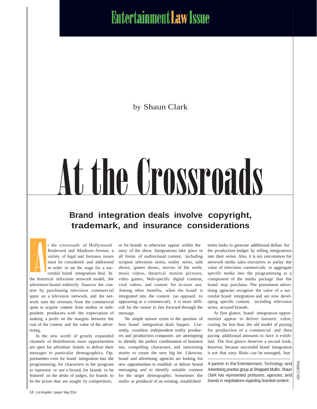**Entertainment Law Issue** 

by Shaun Clark

# At the Crossroads

## **Brand integration deals involve copyright, trademark, and insurance considerations**



t the crossroads of Hollywood Boulevard and Madison Avenue, a variety of legal and business issues must be considered and addressed in order to set the stage for a successful brand integration deal. In

the historical television network model, the advertiser-brand indirectly finances the content by purchasing television commercial spots on a television network, and the network uses the revenues from the commercial spots to acquire content from studios or independent producers with the expectation of making a profit on the margins between the cost of the content and the value of the advertising.

In the new world of greatly expanded channels of distribution, more opportunities are open for advertiser brands to deliver their messages to particular demographics. Opportunities exist for brand integration into the programming, for characters in the program to represent or use a brand, for brands to be featured on the desks of judges, for brands to be the prizes that are sought by competitors,

or for brands to otherwise appear within the story of the show. Integrations take place in all forms of audiovisual content, including scripted television series, reality series, talk shows, games shows, movies of the week, music videos, theatrical motion pictures, video games, Web-specific digital content, viral videos, and content for in-store use. Among other benefits, when the brand is integrated into the content (as opposed to appearing as a commercial), it is more difficult for the viewer to fast forward through the message.

No simple answer exists to the question of how brand integration deals happen. Currently, countless independent reality producers and production companies are attempting to identify the perfect combination of business ties, compelling characters, and interesting stories to create the next big hit. Likewise, brand and advertising agencies are looking for new opportunities to establish or deliver brand messaging and to identify suitable content for the target demographic. Sometimes the studio or producer of an existing, established

series looks to generate additional dollars for the production budget by selling integrations into their series. Also, it is not uncommon for network media sales executives to parlay the value of television commercials or aggregate specific media into the programming as a component of the media package that the brand may purchase. The prominent advertising agencies recognize the value of a successful brand integration and are now developing specific content, including television series, around brands.

At first glance, brand integration opportunities appear to deliver fantastic value, costing far less than the old model of paying for production of a commercial and then paying additional amounts to have it exhibited. The first glance deserves a second look, however, because successful brand integration is not that easy. Risks can be managed, but

A partner in the Entertainment, Technology and Advertising practice group at Sheppard Mullin, Shaun Clark has represented producers, agencies, and brands in negotiations regarding branded content.

KEN CORRAL

**IEN CORRA**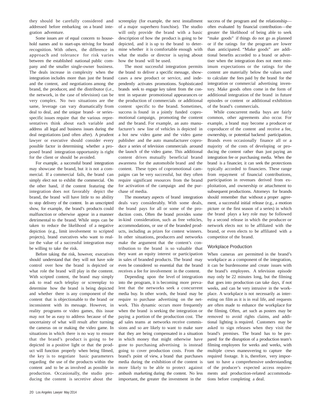they should be carefully considered and addressed before embarking on a brand integration adventure.

Some issues are of equal concern to household names and to start-ups striving for brand recognition. With others, the difference in approach and tolerance for risk varies between the established national public company and the smaller single-owner business. The deals increase in complexity when the integration includes more than just the brand and the content, and negotiations among the brand, the producer, and the distributor (i.e., the network, in the case of television) can be very complex. No two situations are the same, leverage can vary dramatically from deal to deal, and the unique brand- or seriesspecific issues require that the various representatives think about each variable and address all legal and business issues during the deal negotiations (and often after). A prudent lawyer or executive should consider every possible factor in determining whether a proposed brand integration opportunity is right for the client or should be avoided.

For example, a successful brand integration may showcase the brand, but it is not a commercial. If a commercial fails, the brand can simply elect not to exhibit the commercial. On the other hand, if the content featuring the integration does not favorably depict the brand, the brand will have little to no ability to stop delivery of the content. In an unscripted show, for example, the brand's products could malfunction or otherwise appear in a manner detrimental to the brand. While steps can be taken to reduce the likelihood of a negative depiction (e.g., limit involvement to scripted projects), brand executives who want to realize the value of a successful integration may be willing to take the risk.

Before taking the risk, however, executives should understand that they will not have sole control over how the brand is depicted or what role the brand will play in the content. With scripted content, the brand may simply ask to read each teleplay or screenplay to determine how the brand is being depicted and whether there is any component of the content that is objectionable to the brand or inconsistent with its message. However, in reality programs or video games, this issue may not be as easy to address because of the uncertainty of what will result after turning the cameras on or making the video game. In situations in which there is no way to ensure that the brand's product is going to be depicted in a positive light or that the product will function properly when being filmed, the key is to negotiate basic parameters regarding the use of the products within the content and to be as involved as possible in production. Occasionally, the studio producing the content is secretive about the

screenplay (for example, the next installment of a major superhero franchise). The studio will only provide the brand with a basic description of how the product is going to be depicted, and it is up to the brand to determine whether it is comfortable enough with what the studio or director is saying about how the brand will be used.

The most successful integration permits the brand to deliver a specific message, showcases a new product or service, and independently activates promotions. Sophisticated brands seek to engage key talent from the content in separate promotional appearances or the production of commercials or additional content specific to the brand. Sometimes, success is found in a jointly funded copromotional campaign, promoting the content and the brand. For example, an auto manufacturer's new line of vehicles is depicted in a hot new video game and the video game publisher and the auto manufacturer coproduce a series of television commercials around the launch of the video game. This additional content drives mutually beneficial brand awareness for the automobile brand and the content. These types of copromotional campaigns can be very successful, but they often require significant resources from the brand for activation of the campaign and the purchase of media.

The monetary aspects of brand integration deals vary considerably. With some deals, the brand pays for all or some of the production costs. Often the brand provides some in-kind consideration, such as free vehicles, accommodations, or use of the branded products, including as prizes for contest winners. In other situations, producers and networks make the argument that the content's contribution to the brand is so valuable that they want an equity interest or participation in sales of branded products. The brand may even be considered so essential that the brand receives a fee for involvement in the content.

Depending upon the level of integration into the program, it is becoming more prevalent that the networks seek a concurrent media buy. In other words, the brand may be require to purchase advertising on the network. This dynamic occurs more frequently when the brand is seeking the integration or paying a portion of the production cost. The ad sales teams at networks receive commissions and so are likely to want to make sure that they are being compensated in a situation in which money that might otherwise have gone to purchasing advertising is instead going to cover production costs. From the brand's point of view, a brand that purchases media during the exhibition of the content is more likely to be able to protect against ambush marketing during the content. No less important, the greater the investment in the

success of the program and the relationship often evaluated by financial contribution—the greater the likelihood of being able to seek "make goods" if things do not go as planned or if the ratings for the program are lower than anticipated. "Make goods" are additional benefits accorded to a brand or advertiser when the integration does not meet minimum expectations or the ratings for the content are materially below the values used to calculate the fees paid by the brand for the integration or commercial advertising inventory. Make goods often come in the form of additional integration of the brand in future episodes or content or additional exhibition of the brand's commercials.

While concurrent media buys are fairly common, other agreements also occur. For example, a brand may become a producer or coproducer of the content and receive a fee, ownership, or potential backend participation. Brands even occasionally finance all or a majority of the costs of developing or producing the content rather than just paying an integration fee or purchasing media. When the brand is a financier, it can seek the protections typically accorded to financiers. These range from repayment of financial contributions, participation in revenues derived from exploitation, and ownership or attachment to subsequent productions. Attorneys for brands should remember that without a proper agreement, a successful initial release (e.g., a motion picture or the first season of a series) in which the brand plays a key role may be followed by a second release in which the producer or network elects not to be affiliated with the brand, or even elects to be affiliated with a competitor of the brand.

### Workplace Production

When cameras are permitted in the brand's workplace as a component of the integration, it can be burdensome and create issues with the brand's employees. A television episode may only be 22 minutes long, but the filming that goes into production can take days, if not weeks, and can be very intrusive in the workplace. A workplace is not necessarily as interesting on film as it is in real life, and requests are often made to enhance the workplace for the filming. Often, art such as posters may be removed to avoid rights claims, and additional lighting is required. Customers may be asked to sign releases when they visit the brand's premises. The brand has to be prepared for the disruption of a production team's filming employees for weeks and weeks, with multiple crews maneuvering to capture the required footage. It is, therefore, very important to have a comprehensive understanding of the producer's expected access requirements and production-related accommodations before completing a deal.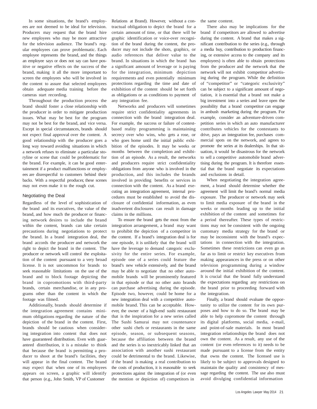In some situations, the brand's employees are not deemed to be ideal for television. Producers may request that the brand hire new employees who may be more attractive for the television audience. The brand's regular employees can prove problematic. Each employee represents the brand, and the things an employee says or does not say can have positive or negative effects on the success of the brand, making it all the more important to screen the employees who will be involved in the content to assure that selected employees obtain adequate media training before the cameras start recording.

Throughout the production process the brand should foster a close relationship with the producer in order to mitigate production issues. What may be best for the program may not be best for the brand, and vice versa. Except in special circumstances, brands should not expect final approval over the content. A good relationship with the producer goes a long way toward avoiding situations in which a network refuses to eliminate a particular storyline or scene that could be problematic for the brand. For example, it can be good entertainment if a product malfunctions or employees are disrespectful to customers behind their backs. With a respectful producer, these scenes may not even make it to the rough cut.

### Negotiating the Deal

Regardless of the level of sophistication of the brand and its executives, the value of the brand, and how much the producer or financing network desires to include the brand within the content, brands can take certain precautions during negotiations to protect the brand. In a brand integration deal, the brand accords the producer and network the right to depict the brand in the content. The producer or network will control the exploitation of the content pursuant to a very broad license. It is not uncommon for brands to seek reasonable limitations on the use of the brand and to block footage depicting the brand in copromotions with third-party brands, certain merchandise, or in any programs other than the content in which the footage was filmed.

Additionally, brands should determine if the integration agreement contains minimum obligations regarding the nature of the depiction of the brand in the content. First, brands should be cautious when considering integration into content that does not have guaranteed distribution. Even with guaranteed distribution, it is a mistake to think that because the brand is permitting a producer to shoot at the brand's facilities, they will appear in the final content. The brand may expect that when one of its employees appears on screen, a graphic will identify that person (e.g., John Smith, VP of Customer

Relations at Brand). However, without a contractual obligation to depict the brand for a certain amount of time, or that there will be graphic identification or voice-over recognition of the brand during the content, the producer may not include the shots, graphics, or audio references that deliver value to the brand. In situations in which the brand has a significant amount of leverage or is paying for the integration, minimum depiction requirements and even potentially minimum protections regarding the time and date of exhibition of the content should be set forth as obligations or as conditions to payment of any integration fee.

Networks and producers will sometimes require strict confidentiality agreements in connection with the brand integration deal. For example, the success or failure of contestbased reality programming is maintaining secrecy over who wins, who gets a rose, or who goes home until the initial public exhibition of the episodes. It may be weeks or months between the completion and exhibition of an episode. As a result, the networks and producers require strict confidentiality obligations from anyone who is involved in the production, and this includes the brands involved in providing benefits or services in connection with the content. As a brand executing an integration agreement, internal procedures must be established to avoid the disclosure of confidential information, as even inadvertent disclosures can result in damage claims in the millions.

To ensure the brand gets the most from the integration arrangement, a brand may want to prohibit the depiction of a competitor in the content. If a brand's integration deal is for one episode, it is unlikely that the brand will have the leverage to demand categoric exclusivity for the entire series. For example, episode one of a series could feature the brand's new vehicle extensively, and the brand may be able to negotiate that no other automobile brands will be prominently featured in that episode or that no other auto brands can purchase advertising during the episode. Episode two, however, could be home for a new integration deal with a competitive automobile brand. This can be acceptable. However, the owner of a high-end sushi restaurant that is the inspiration for a new series called The Sushi Samurai may not countenance other sushi chefs or restaurants in the same episode, season, or subsequent seasons, because the affiliation between the brand and the series is so inextricably linked that an association with another sushi restaurant could be detrimental to the brand. Likewise, if the brand is making a real contribution to the costs of production, it is reasonable to seek protections against the integration of (or even the mention or depiction of) competitors in

the same content.

There also may be implications for the brand if competitors are allowed to advertise during the content. A brand that makes a significant contribution to the series (e.g., through a media buy, contribution to production financing, or extensive access to the company and its employees) is often able to obtain protections from the producer and the network that the network will not exhibit competitor advertising during the program. While the definition of "competitor" or "categoric exclusivity" can be subject to a significant amount of negotiation, it is essential that a brand not make a big investment into a series and leave open the possibility that a brand competitor can engage in ambush marketing during the program. For example, consider an adventure-driven competition series in which an auto manufacturer contributes vehicles for the contestants to drive, pays an integration fee, purchases commercial spots on the network, and agrees to promote the series at its dealerships. In that situation, it would be disastrous for the network to sell a competitive automobile brand advertising during the program. It is therefore essential that the brand negotiate its expectations and exclusions in detail.

When negotiating the integration agreement, a brand should determine whether the agreement will limit the brand's normal media exposure. The producer or network may seek to limit media exposure of the brand in the weeks or months leading up to the initial exhibition of the content and sometimes for a period thereafter. These types of restrictions may not be consistent with the ongoing customary media strategy for the brand or may be inconsistent with the brand's expectations in connection with the integration. Sometimes these restrictions can even go as far as to limit or restrict key executives from making appearances in the press or on other television programming during a window around the initial exhibition of the content. It is crucial that the brand fully understand the expectations regarding any restrictions on the brand prior to proceeding forward with the integration.

Finally, a brand should evaluate the opportunity to utilize the content for its own purposes and how to do so. The brand may be able to help copromote the content through its digital platforms, social media, e-mail, and point-of-sale materials. In most brand integration relationships the brand does not own the content. As a result, any use of the content (or even references to it) needs to be made pursuant to a license from the entity that owns the content. The licensed use is likely to be subject to approvals designed to maintain the quality and consistency of message regarding the content. The use also must avoid divulging confidential information